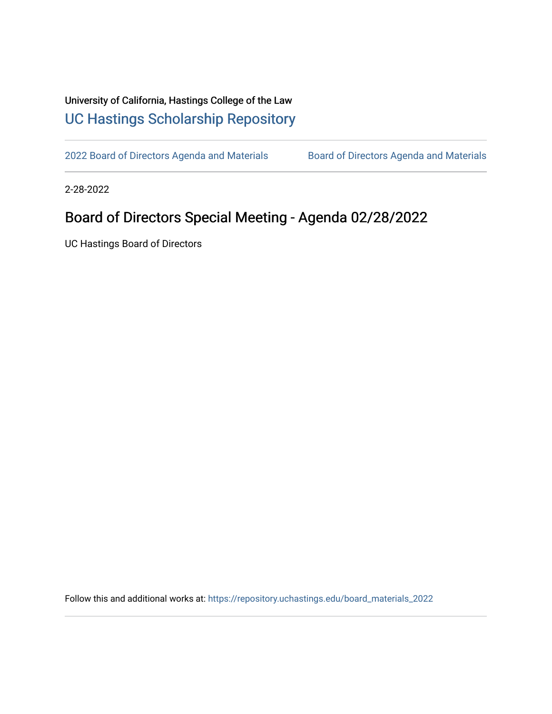## University of California, Hastings College of the Law [UC Hastings Scholarship Repository](https://repository.uchastings.edu/)

[2022 Board of Directors Agenda and Materials](https://repository.uchastings.edu/board_materials_2022) Board of Directors Agenda and Materials

2-28-2022

## Board of Directors Special Meeting - Agenda 02/28/2022

UC Hastings Board of Directors

Follow this and additional works at: [https://repository.uchastings.edu/board\\_materials\\_2022](https://repository.uchastings.edu/board_materials_2022?utm_source=repository.uchastings.edu%2Fboard_materials_2022%2F23&utm_medium=PDF&utm_campaign=PDFCoverPages)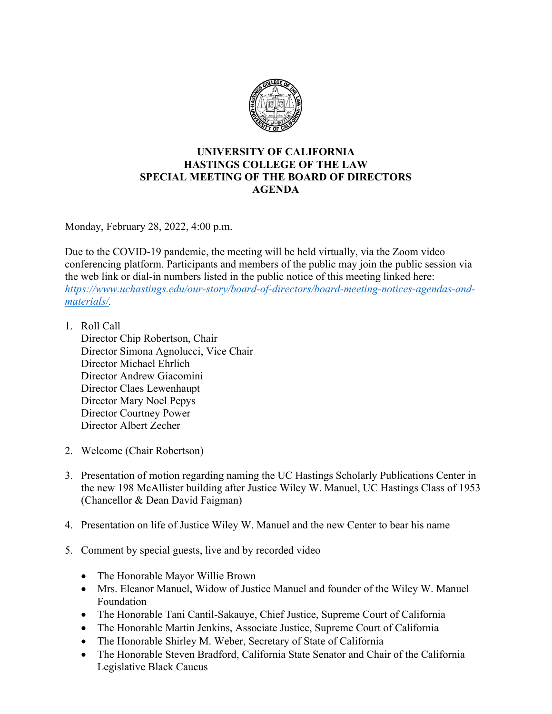

## **UNIVERSITY OF CALIFORNIA HASTINGS COLLEGE OF THE LAW SPECIAL MEETING OF THE BOARD OF DIRECTORS AGENDA**

Monday, February 28, 2022, 4:00 p.m.

Due to the COVID-19 pandemic, the meeting will be held virtually, via the Zoom video conferencing platform. Participants and members of the public may join the public session via the web link or dial-in numbers listed in the public notice of this meeting linked here: *[https://www.uchastings.edu/our-story/board-of-directors/board-meeting-notices-agendas-and](https://www.uchastings.edu/our-story/board-of-directors/board-meeting-notices-agendas-and-materials/)[materials/.](https://www.uchastings.edu/our-story/board-of-directors/board-meeting-notices-agendas-and-materials/)* 

1. Roll Call

Director Chip Robertson, Chair Director Simona Agnolucci, Vice Chair Director Michael Ehrlich Director Andrew Giacomini Director Claes Lewenhaupt Director Mary Noel Pepys Director Courtney Power Director Albert Zecher

- 2. Welcome (Chair Robertson)
- 3. Presentation of motion regarding naming the UC Hastings Scholarly Publications Center in the new 198 McAllister building after Justice Wiley W. Manuel, UC Hastings Class of 1953 (Chancellor & Dean David Faigman)
- 4. Presentation on life of Justice Wiley W. Manuel and the new Center to bear his name
- 5. Comment by special guests, live and by recorded video
	- The Honorable Mayor Willie Brown
	- Mrs. Eleanor Manuel, Widow of Justice Manuel and founder of the Wiley W. Manuel Foundation
	- The Honorable Tani Cantil-Sakauye, Chief Justice, Supreme Court of California
	- The Honorable Martin Jenkins, Associate Justice, Supreme Court of California
	- The Honorable Shirley M. Weber, Secretary of State of California
	- The Honorable Steven Bradford, California State Senator and Chair of the California Legislative Black Caucus